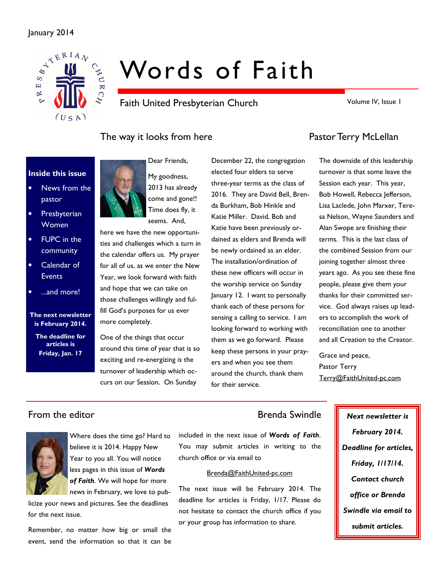## January 2014



# Words of Faith

Faith United Presbyterian Church

Volume IV, Issue 1

# The way it looks from here **Pastor Terry McLellan**

### Inside this issue

- News from the pastor
- Presbyterian **Women**
- **FUPC** in the community
- Calendar of **Events**
- ...and more!

The next newsletter is February 2014. The deadline for articles is Friday, Jan. 17



My goodness, 2013 has already come and gone!! Time does fly, it seems. And.

Dear Friends,

here we have the new opportunities and challenges which a turn in the calendar offers us. My prayer for all of us, as we enter the New Year, we look forward with faith and hope that we can take on those challenges willingly and fulfill God's purposes for us ever more completely.

One of the things that occur around this time of year that is so exciting and re-energizing is the turnover of leadership which occurs on our Session. On Sunday

December 22, the congregation elected four elders to serve three-year terms as the class of 2016. They are David Bell, Brenda Burkham, Bob Hinkle and Katie Miller. David, Bob and Katie have been previously ordained as elders and Brenda will be newly ordained as an elder. The installation/ordination of these new officers will occur in the worship service on Sunday January 12. I want to personally thank each of these persons for sensing a calling to service. I am looking forward to working with them as we go forward. Please keep these persons in your prayers and when you see them around the church, thank them for their service.

The downside of this leadership turnover is that some leave the Session each year. This year, Bob Howell, Rebecca Jefferson, Lisa Laclede, John Marxer, Teresa Nelson, Wayne Saunders and Alan Swope are finishing their terms. This is the last class of the combined Session from our joining together almost three years ago. As you see these fine people, please give them your thanks for their committed service. God always raises up leaders to accomplish the work of reconciliation one to another and all Creation to the Creator.

Grace and peace, Pastor Terry Terry@FaithUnited-pc.com

# From the editor **Brenda Swindle** Next newsletter is



Where does the time go? Hard to believe it is 2014. Happy New Year to you all. You will notice less pages in this issue of **Words** of Faith. We will hope for more news in February, we love to pub-

licize your news and pictures. See the deadlines for the next issue.

Remember, no matter how big or small the event, send the information so that it can be

included in the next issue of Words of Faith. You may submit articles in writing to the church office or via email to

#### Brenda@FaithUnited-pc.com

The next issue will be February 2014. The deadline for articles is Friday, 1/17. Please do not hesitate to contact the church office if you or your group has information to share.

February 2014. Deadline for articles, Friday, 1/17/14. Contact church office or Brenda Swindle via email to submit articles.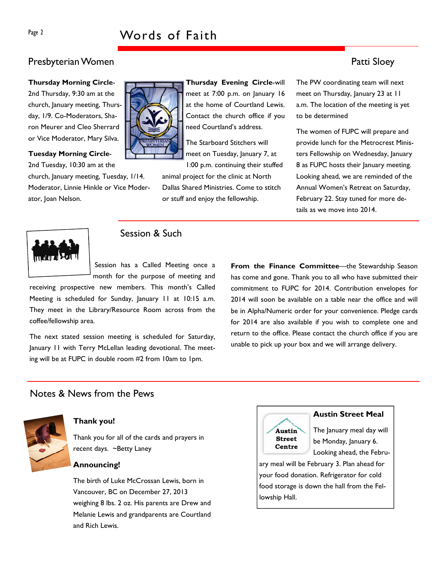# Presbyterian Women **Presbyterian Women**

#### Thursday Morning Circle-

2nd Thursday, 9:30 am at the church, January meeting, Thursday, 1/9. Co-Moderators, Sharon Meurer and Cleo Sherrard or Vice Moderator, Mary Silva.

#### Tuesday Morning Circle-

2nd Tuesday, 10:30 am at the church, January meeting, Tuesday, 1/14. Moderator, Linnie Hinkle or Vice Moderator, Joan Nelson.



Thursday Evening Circle-will meet at 7:00 p.m. on January 16 at the home of Courtland Lewis. Contact the church office if you need Courtland's address.

The Starboard Stitchers will meet on Tuesday, January 7, at 1:00 p.m. continuing their stuffed

animal project for the clinic at North Dallas Shared Ministries. Come to stitch or stuff and enjoy the fellowship.

The PW coordinating team will next meet on Thursday, January 23 at 11 a.m. The location of the meeting is yet to be determined

The women of FUPC will prepare and provide lunch for the Metrocrest Ministers Fellowship on Wednesday, January 8 as FUPC hosts their January meeting. Looking ahead, we are reminded of the Annual Women's Retreat on Saturday, February 22. Stay tuned for more details as we move into 2014.



# Session & Such

Session has a Called Meeting once a month for the purpose of meeting and

receiving prospective new members. This month's Called Meeting is scheduled for Sunday, January 11 at 10:15 a.m. They meet in the Library/Resource Room across from the coffee/fellowship area.

The next stated session meeting is scheduled for Saturday, January 11 with Terry McLellan leading devotional. The meeting will be at FUPC in double room #2 from 10am to 1pm.

From the Finance Committee—the Stewardship Season has come and gone. Thank you to all who have submitted their commitment to FUPC for 2014. Contribution envelopes for 2014 will soon be available on a table near the office and will be in Alpha/Numeric order for your convenience. Pledge cards for 2014 are also available if you wish to complete one and return to the office. Please contact the church office if you are unable to pick up your box and we will arrange delivery.

# Notes & News from the Pews



#### Thank you!

Thank you for all of the cards and prayers in recent days. ~Betty Laney

#### Announcing!

The birth of Luke McCrossan Lewis, born in Vancouver, BC on December 27, 2013 weighing 8 lbs. 2 oz. His parents are Drew and Melanie Lewis and grandparents are Courtland and Rich Lewis.



#### Austin Street Meal

The January meal day will be Monday, January 6. Looking ahead, the Febru-

ary meal will be February 3. Plan ahead for your food donation. Refrigerator for cold food storage is down the hall from the Fellowship Hall.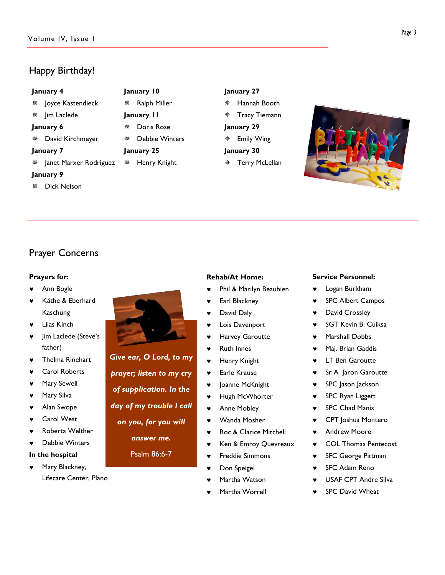# Happy Birthday!

#### January 4

- Joyce Kastendieck
- **※ Jim Laclede**
- January 6
- David Kirchmeyer

#### January 7

Janet Marxer Rodriguez

#### January 9

Dick Nelson

# January 27

- Hannah Booth
- Tracy Tiemann
- January 29 Emily Wing
- January 30
- Terry McLellan



# Prayer Concerns

#### Prayers for:

- Ann Bogle
- Käthe & Eberhard Kaschung
- Lilas Kinch
- ♥ Jim Laclede (Steve's father)
- Thelma Rinehart
- ♥ Carol Roberts
- Mary Sewell
- ♥ Mary Silva
- ♥ Alan Swope
- ♥ Carol West
- Roberta Welther
- ♥ Debbie Winters

#### In the hospital

Mary Blackney, Lifecare Center, Plano



January 10 Ralph Miller January 11

January 25

 Doris Rose Debbie Winters

Henry Knight

Give ear, O Lord, to my prayer; listen to my cry of supplication. In the day of my trouble I call on you, for you will answer me.

Psalm 86:6-7

## Rehab/At Home:

- Phil & Marilyn Beaubien
- Earl Blackney
- ♥ David Daly
- ♥ Lois Davenport
- ♥ Harvey Garoutte
- **Ruth Innes**
- ♥ Henry Knight
- ♥ Earle Krause
- Joanne McKnight
- ♥ Hugh McWhorter
- ♥ Anne Mobley
- ♥ Wanda Mosher
- ♥ Roc & Clarice Mitchell
- Ken & Emroy Quevreaux
- ♥ Freddie Simmons
- Don Speigel
- Martha Watson
- Martha Worrell

#### Service Personnel:

- Logan Burkham
- ♥ SPC Albert Campos
- ♥ David Crossley
- ♥ SGT Kevin B. Cuiksa
- ♥ Marshall Dobbs
- ♥ Maj. Brian Gaddis
- **LT Ben Garoutte**
- ♥ Sr A Jaron Garoutte
- ♥ SPC Jason Jackson
- ♥ SPC Ryan Liggett
- ♥ SPC Chad Manis
- ♥ CPT Joshua Montero
- ♥ Andrew Moore
- COL Thomas Pentecost
- ♥ SFC George Pittman
- **SFC Adam Reno**
- ♥ USAF CPT Andre Silva
- **SPC David Wheat**